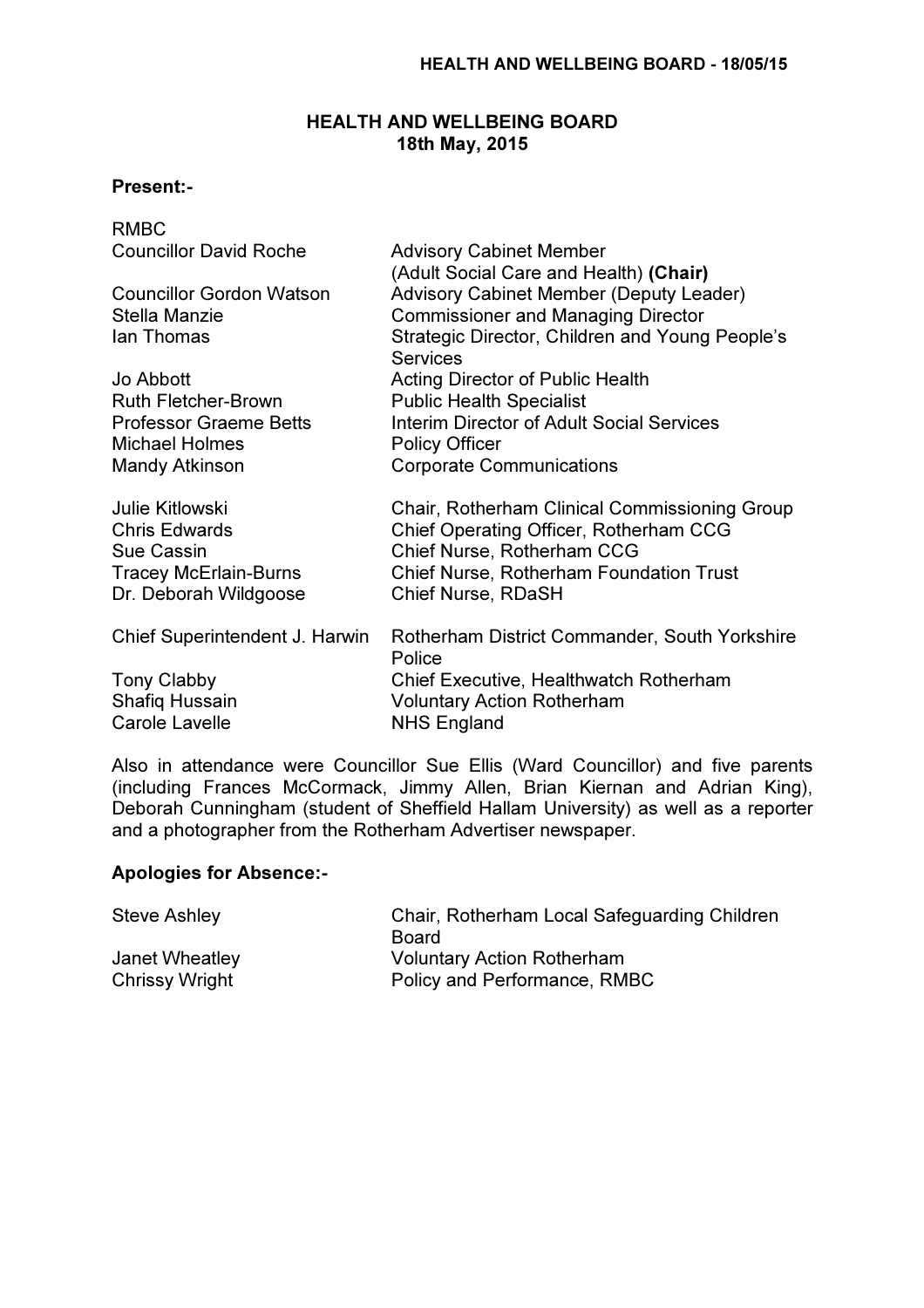# HEALTH AND WELLBEING BOARD 18th May, 2015

### Present:-

| <b>RMBC</b>                     |                                                                    |
|---------------------------------|--------------------------------------------------------------------|
| <b>Councillor David Roche</b>   | <b>Advisory Cabinet Member</b>                                     |
|                                 | (Adult Social Care and Health) (Chair)                             |
| <b>Councillor Gordon Watson</b> | <b>Advisory Cabinet Member (Deputy Leader)</b>                     |
| Stella Manzie                   | <b>Commissioner and Managing Director</b>                          |
| lan Thomas                      | Strategic Director, Children and Young People's<br><b>Services</b> |
| Jo Abbott                       | <b>Acting Director of Public Health</b>                            |
| <b>Ruth Fletcher-Brown</b>      | <b>Public Health Specialist</b>                                    |
| <b>Professor Graeme Betts</b>   | Interim Director of Adult Social Services                          |
| <b>Michael Holmes</b>           | <b>Policy Officer</b>                                              |
| <b>Mandy Atkinson</b>           | <b>Corporate Communications</b>                                    |
| <b>Julie Kitlowski</b>          | Chair, Rotherham Clinical Commissioning Group                      |
| <b>Chris Edwards</b>            | Chief Operating Officer, Rotherham CCG                             |
| <b>Sue Cassin</b>               | Chief Nurse, Rotherham CCG                                         |
| <b>Tracey McErlain-Burns</b>    | <b>Chief Nurse, Rotherham Foundation Trust</b>                     |
| Dr. Deborah Wildgoose           | <b>Chief Nurse, RDaSH</b>                                          |
| Chief Superintendent J. Harwin  | Rotherham District Commander, South Yorkshire<br>Police            |
| <b>Tony Clabby</b>              | <b>Chief Executive, Healthwatch Rotherham</b>                      |
| Shafiq Hussain                  | <b>Voluntary Action Rotherham</b>                                  |
| <b>Carole Lavelle</b>           | <b>NHS England</b>                                                 |
|                                 |                                                                    |

Also in attendance were Councillor Sue Ellis (Ward Councillor) and five parents (including Frances McCormack, Jimmy Allen, Brian Kiernan and Adrian King), Deborah Cunningham (student of Sheffield Hallam University) as well as a reporter and a photographer from the Rotherham Advertiser newspaper.

#### Apologies for Absence:-

| <b>Steve Ashley</b> | Chair, Rotherham Local Safeguarding Children |
|---------------------|----------------------------------------------|
|                     | Board                                        |
| Janet Wheatley      | <b>Voluntary Action Rotherham</b>            |
| Chrissy Wright      | Policy and Performance, RMBC                 |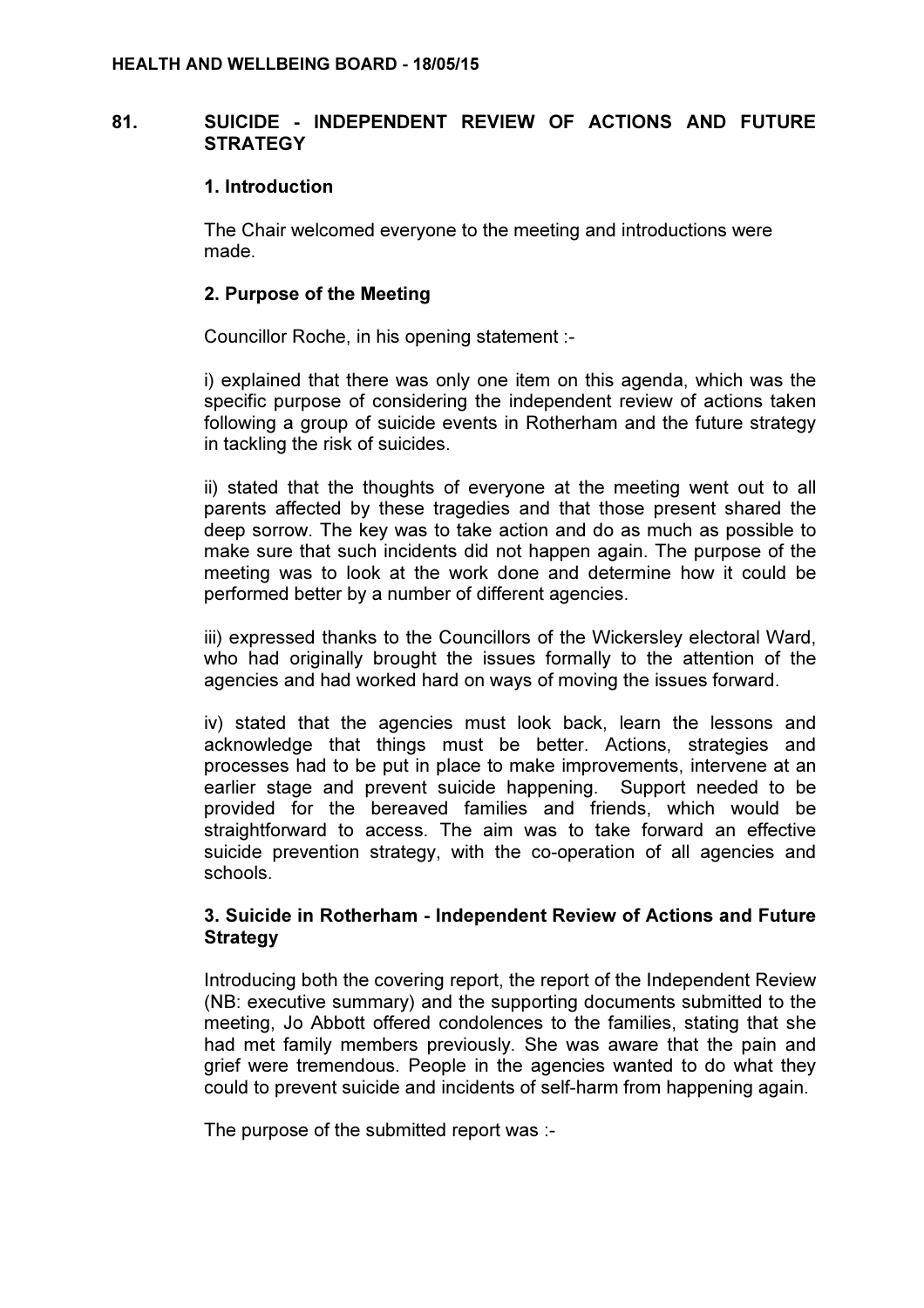### 81. SUICIDE - INDEPENDENT REVIEW OF ACTIONS AND FUTURE **STRATEGY**

#### 1. Introduction

The Chair welcomed everyone to the meeting and introductions were made.

### 2. Purpose of the Meeting

Councillor Roche, in his opening statement :-

i) explained that there was only one item on this agenda, which was the specific purpose of considering the independent review of actions taken following a group of suicide events in Rotherham and the future strategy in tackling the risk of suicides.

ii) stated that the thoughts of everyone at the meeting went out to all parents affected by these tragedies and that those present shared the deep sorrow. The key was to take action and do as much as possible to make sure that such incidents did not happen again. The purpose of the meeting was to look at the work done and determine how it could be performed better by a number of different agencies.

iii) expressed thanks to the Councillors of the Wickersley electoral Ward, who had originally brought the issues formally to the attention of the agencies and had worked hard on ways of moving the issues forward.

iv) stated that the agencies must look back, learn the lessons and acknowledge that things must be better. Actions, strategies and processes had to be put in place to make improvements, intervene at an earlier stage and prevent suicide happening. Support needed to be provided for the bereaved families and friends, which would be straightforward to access. The aim was to take forward an effective suicide prevention strategy, with the co-operation of all agencies and schools.

## 3. Suicide in Rotherham - Independent Review of Actions and Future **Strategy**

Introducing both the covering report, the report of the Independent Review (NB: executive summary) and the supporting documents submitted to the meeting, Jo Abbott offered condolences to the families, stating that she had met family members previously. She was aware that the pain and grief were tremendous. People in the agencies wanted to do what they could to prevent suicide and incidents of self-harm from happening again.

The purpose of the submitted report was :-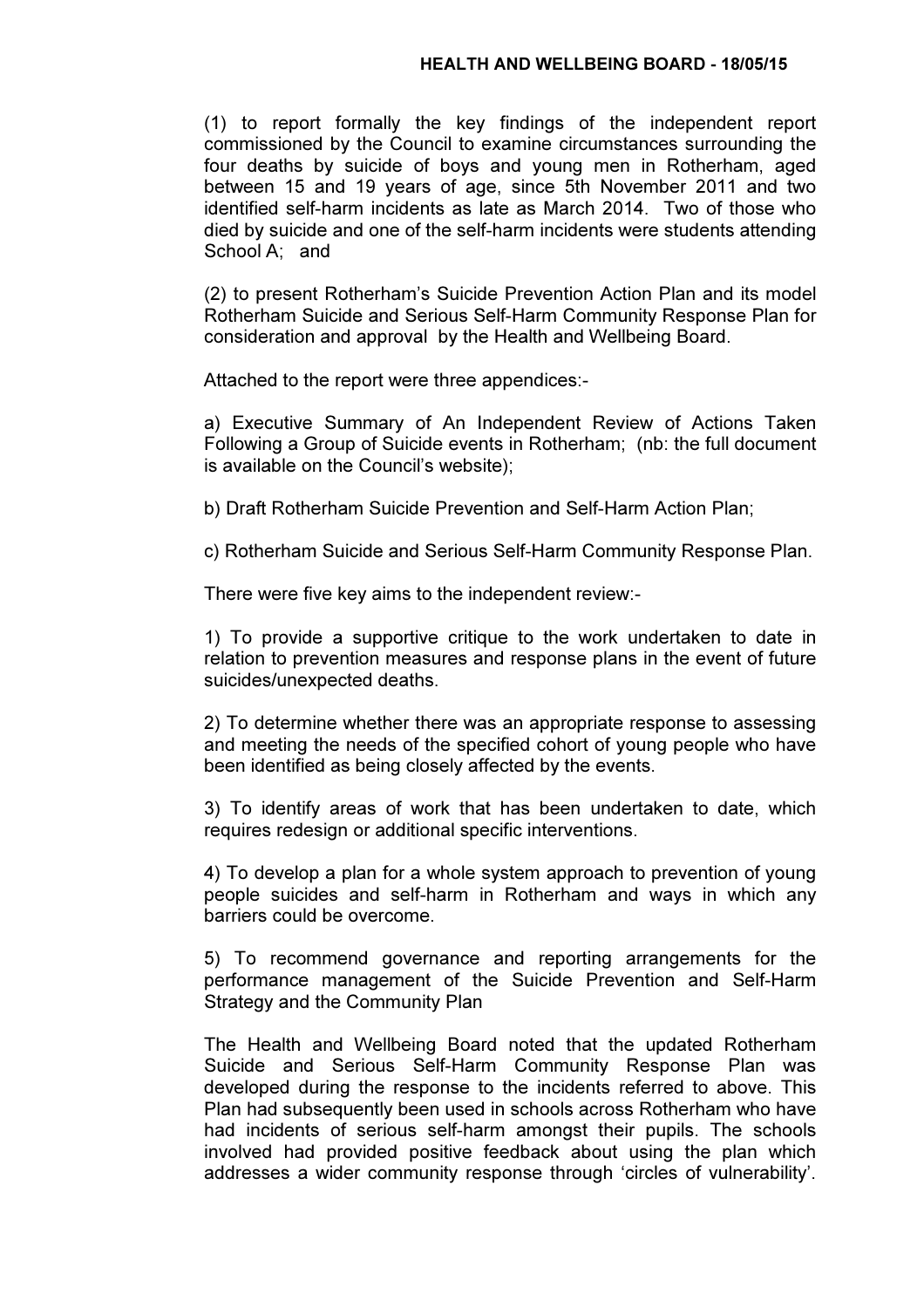(1) to report formally the key findings of the independent report commissioned by the Council to examine circumstances surrounding the four deaths by suicide of boys and young men in Rotherham, aged between 15 and 19 years of age, since 5th November 2011 and two identified self-harm incidents as late as March 2014. Two of those who died by suicide and one of the self-harm incidents were students attending School A; and

(2) to present Rotherham's Suicide Prevention Action Plan and its model Rotherham Suicide and Serious Self-Harm Community Response Plan for consideration and approval by the Health and Wellbeing Board.

Attached to the report were three appendices:-

a) Executive Summary of An Independent Review of Actions Taken Following a Group of Suicide events in Rotherham; (nb: the full document is available on the Council's website);

b) Draft Rotherham Suicide Prevention and Self-Harm Action Plan;

c) Rotherham Suicide and Serious Self-Harm Community Response Plan.

There were five key aims to the independent review:-

1) To provide a supportive critique to the work undertaken to date in relation to prevention measures and response plans in the event of future suicides/unexpected deaths.

2) To determine whether there was an appropriate response to assessing and meeting the needs of the specified cohort of young people who have been identified as being closely affected by the events.

3) To identify areas of work that has been undertaken to date, which requires redesign or additional specific interventions.

4) To develop a plan for a whole system approach to prevention of young people suicides and self-harm in Rotherham and ways in which any barriers could be overcome.

5) To recommend governance and reporting arrangements for the performance management of the Suicide Prevention and Self-Harm Strategy and the Community Plan

The Health and Wellbeing Board noted that the updated Rotherham Suicide and Serious Self-Harm Community Response Plan was developed during the response to the incidents referred to above. This Plan had subsequently been used in schools across Rotherham who have had incidents of serious self-harm amongst their pupils. The schools involved had provided positive feedback about using the plan which addresses a wider community response through 'circles of vulnerability'.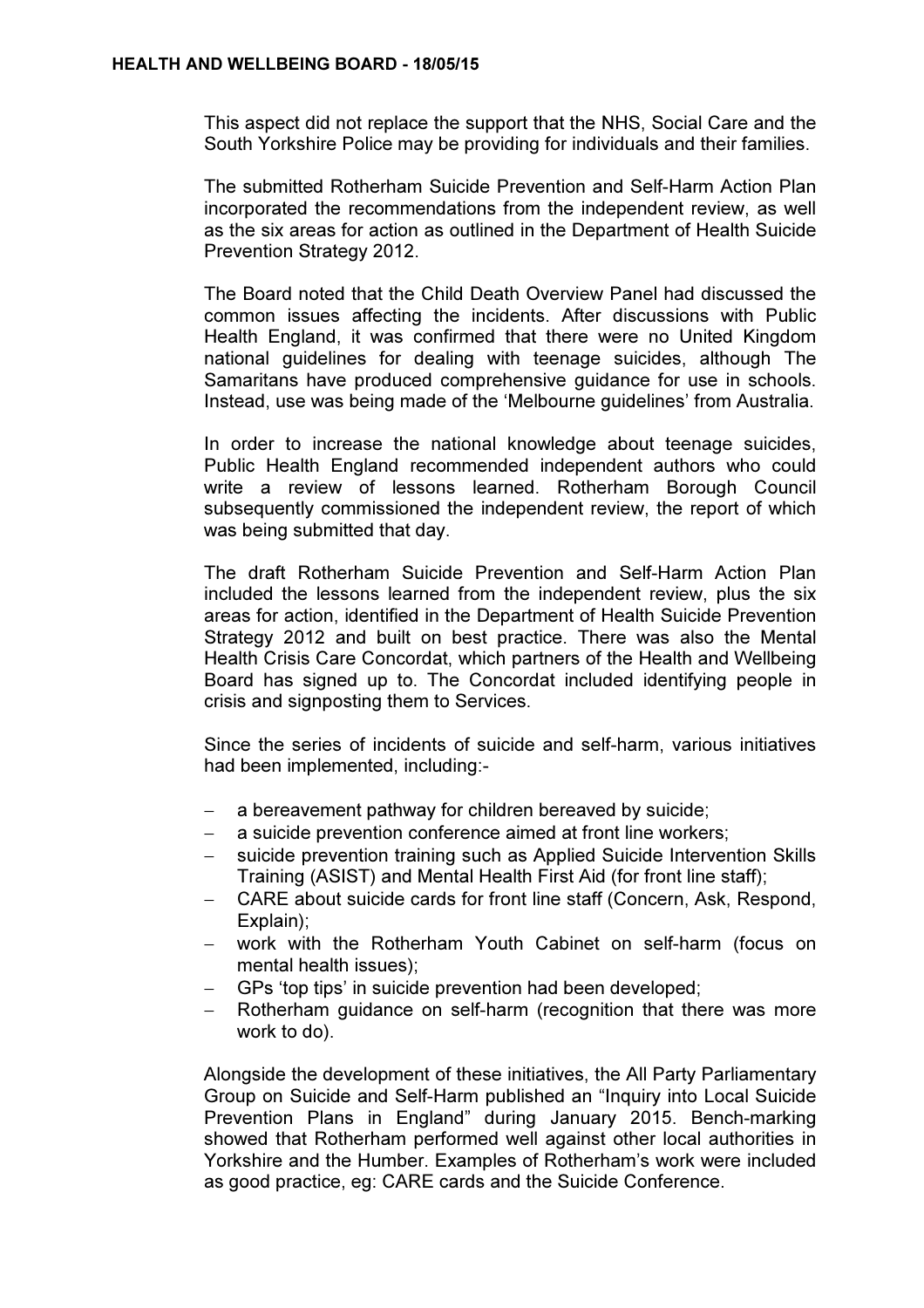This aspect did not replace the support that the NHS, Social Care and the South Yorkshire Police may be providing for individuals and their families.

The submitted Rotherham Suicide Prevention and Self-Harm Action Plan incorporated the recommendations from the independent review, as well as the six areas for action as outlined in the Department of Health Suicide Prevention Strategy 2012.

The Board noted that the Child Death Overview Panel had discussed the common issues affecting the incidents. After discussions with Public Health England, it was confirmed that there were no United Kingdom national guidelines for dealing with teenage suicides, although The Samaritans have produced comprehensive guidance for use in schools. Instead, use was being made of the 'Melbourne guidelines' from Australia.

In order to increase the national knowledge about teenage suicides, Public Health England recommended independent authors who could write a review of lessons learned. Rotherham Borough Council subsequently commissioned the independent review, the report of which was being submitted that day.

The draft Rotherham Suicide Prevention and Self-Harm Action Plan included the lessons learned from the independent review, plus the six areas for action, identified in the Department of Health Suicide Prevention Strategy 2012 and built on best practice. There was also the Mental Health Crisis Care Concordat, which partners of the Health and Wellbeing Board has signed up to. The Concordat included identifying people in crisis and signposting them to Services.

Since the series of incidents of suicide and self-harm, various initiatives had been implemented, including:-

- a bereavement pathway for children bereaved by suicide;
- a suicide prevention conference aimed at front line workers;
- suicide prevention training such as Applied Suicide Intervention Skills Training (ASIST) and Mental Health First Aid (for front line staff);
- − CARE about suicide cards for front line staff (Concern, Ask, Respond, Explain);
- work with the Rotherham Youth Cabinet on self-harm (focus on mental health issues);
- − GPs 'top tips' in suicide prevention had been developed;
- − Rotherham guidance on self-harm (recognition that there was more work to do).

Alongside the development of these initiatives, the All Party Parliamentary Group on Suicide and Self-Harm published an "Inquiry into Local Suicide Prevention Plans in England" during January 2015. Bench-marking showed that Rotherham performed well against other local authorities in Yorkshire and the Humber. Examples of Rotherham's work were included as good practice, eg: CARE cards and the Suicide Conference.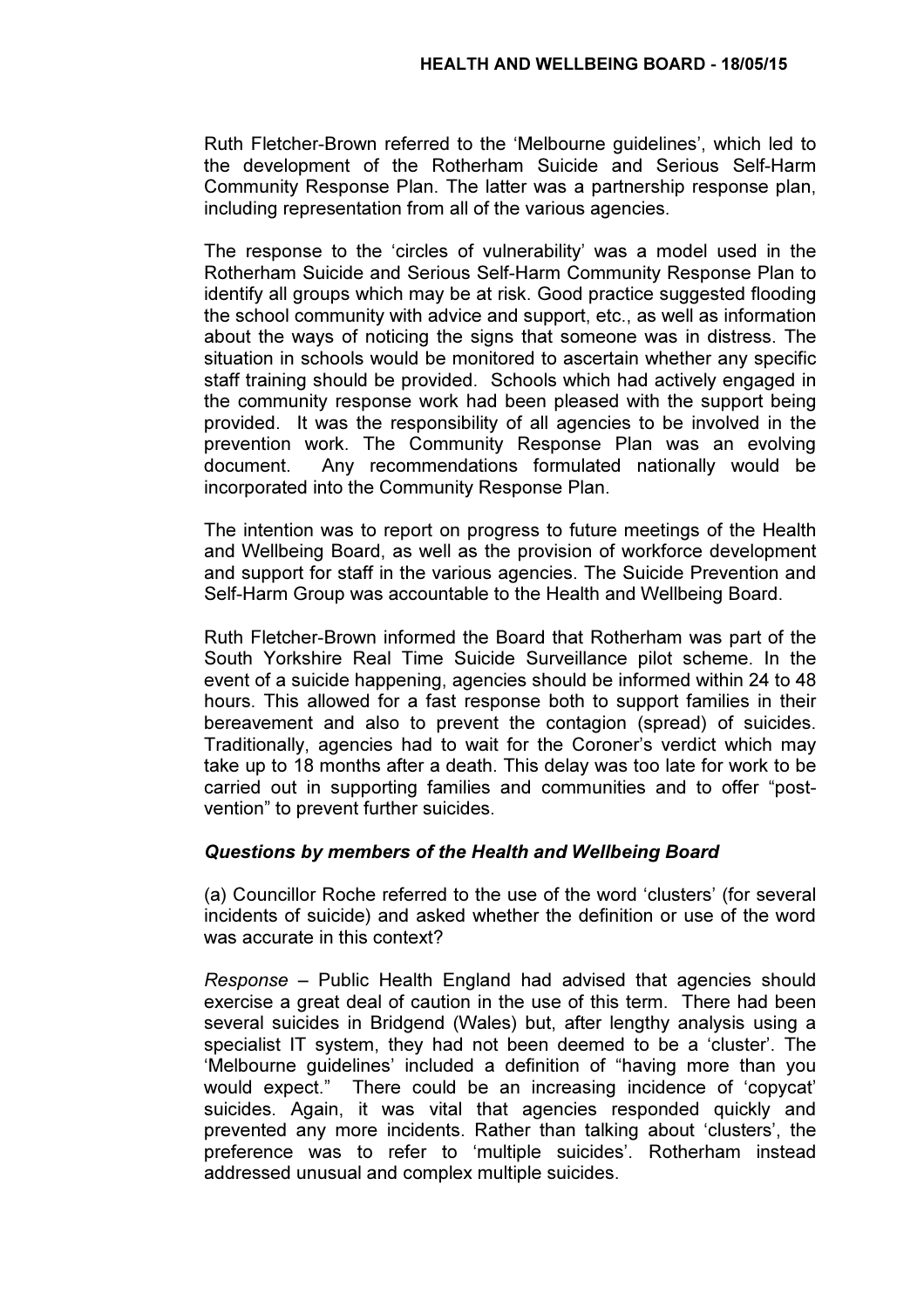Ruth Fletcher-Brown referred to the 'Melbourne guidelines', which led to the development of the Rotherham Suicide and Serious Self-Harm Community Response Plan. The latter was a partnership response plan, including representation from all of the various agencies.

The response to the 'circles of vulnerability' was a model used in the Rotherham Suicide and Serious Self-Harm Community Response Plan to identify all groups which may be at risk. Good practice suggested flooding the school community with advice and support, etc., as well as information about the ways of noticing the signs that someone was in distress. The situation in schools would be monitored to ascertain whether any specific staff training should be provided. Schools which had actively engaged in the community response work had been pleased with the support being provided. It was the responsibility of all agencies to be involved in the prevention work. The Community Response Plan was an evolving document. Any recommendations formulated nationally would be incorporated into the Community Response Plan.

The intention was to report on progress to future meetings of the Health and Wellbeing Board, as well as the provision of workforce development and support for staff in the various agencies. The Suicide Prevention and Self-Harm Group was accountable to the Health and Wellbeing Board.

Ruth Fletcher-Brown informed the Board that Rotherham was part of the South Yorkshire Real Time Suicide Surveillance pilot scheme. In the event of a suicide happening, agencies should be informed within 24 to 48 hours. This allowed for a fast response both to support families in their bereavement and also to prevent the contagion (spread) of suicides. Traditionally, agencies had to wait for the Coroner's verdict which may take up to 18 months after a death. This delay was too late for work to be carried out in supporting families and communities and to offer "postvention" to prevent further suicides.

#### Questions by members of the Health and Wellbeing Board

(a) Councillor Roche referred to the use of the word 'clusters' (for several incidents of suicide) and asked whether the definition or use of the word was accurate in this context?

Response – Public Health England had advised that agencies should exercise a great deal of caution in the use of this term. There had been several suicides in Bridgend (Wales) but, after lengthy analysis using a specialist IT system, they had not been deemed to be a 'cluster'. The 'Melbourne guidelines' included a definition of "having more than you would expect." There could be an increasing incidence of 'copycat' suicides. Again, it was vital that agencies responded quickly and prevented any more incidents. Rather than talking about 'clusters', the preference was to refer to 'multiple suicides'. Rotherham instead addressed unusual and complex multiple suicides.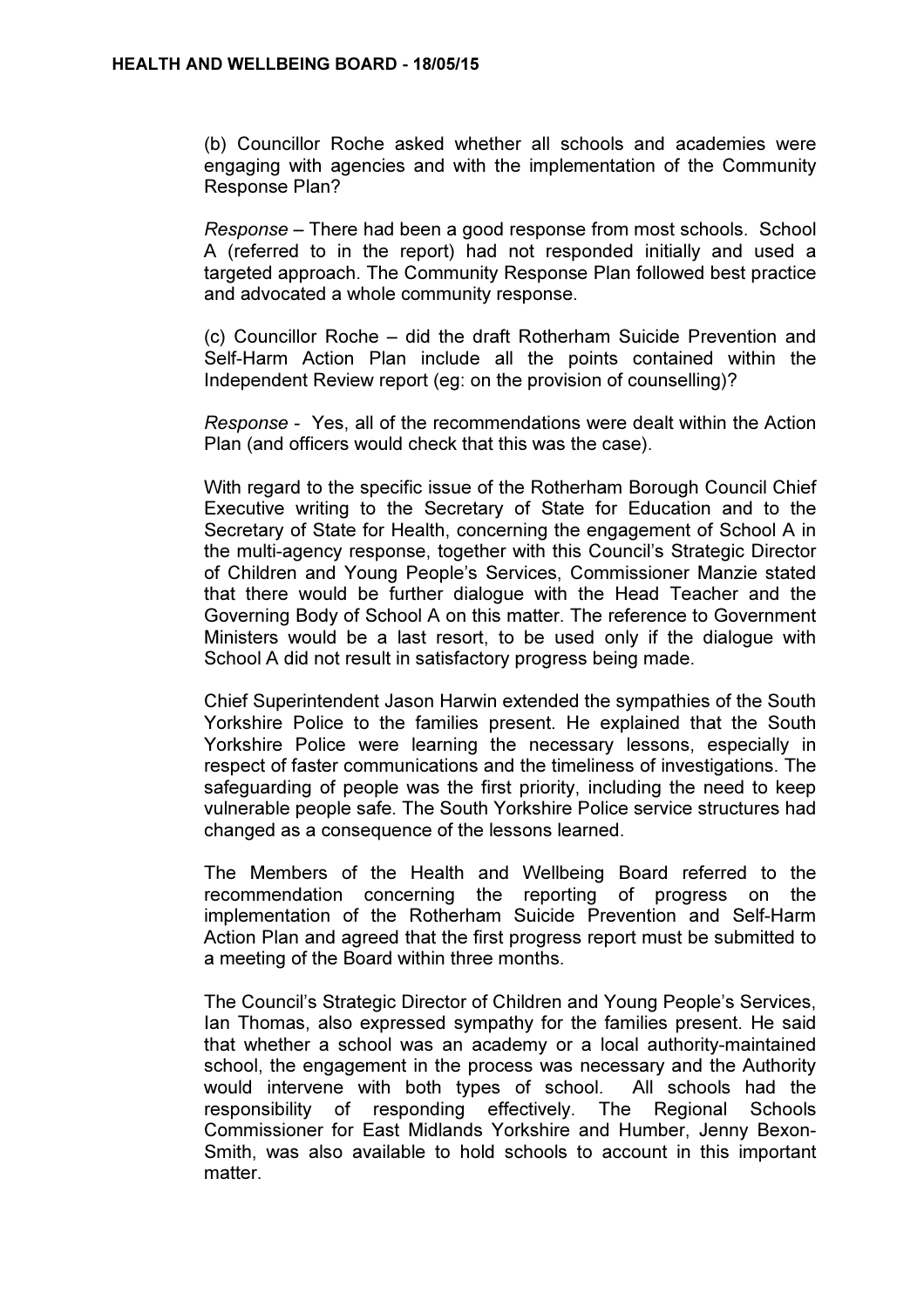(b) Councillor Roche asked whether all schools and academies were engaging with agencies and with the implementation of the Community Response Plan?

Response – There had been a good response from most schools. School A (referred to in the report) had not responded initially and used a targeted approach. The Community Response Plan followed best practice and advocated a whole community response.

(c) Councillor Roche – did the draft Rotherham Suicide Prevention and Self-Harm Action Plan include all the points contained within the Independent Review report (eg: on the provision of counselling)?

Response - Yes, all of the recommendations were dealt within the Action Plan (and officers would check that this was the case).

With regard to the specific issue of the Rotherham Borough Council Chief Executive writing to the Secretary of State for Education and to the Secretary of State for Health, concerning the engagement of School A in the multi-agency response, together with this Council's Strategic Director of Children and Young People's Services, Commissioner Manzie stated that there would be further dialogue with the Head Teacher and the Governing Body of School A on this matter. The reference to Government Ministers would be a last resort, to be used only if the dialogue with School A did not result in satisfactory progress being made.

Chief Superintendent Jason Harwin extended the sympathies of the South Yorkshire Police to the families present. He explained that the South Yorkshire Police were learning the necessary lessons, especially in respect of faster communications and the timeliness of investigations. The safeguarding of people was the first priority, including the need to keep vulnerable people safe. The South Yorkshire Police service structures had changed as a consequence of the lessons learned.

The Members of the Health and Wellbeing Board referred to the recommendation concerning the reporting of progress on the implementation of the Rotherham Suicide Prevention and Self-Harm Action Plan and agreed that the first progress report must be submitted to a meeting of the Board within three months.

The Council's Strategic Director of Children and Young People's Services, Ian Thomas, also expressed sympathy for the families present. He said that whether a school was an academy or a local authority-maintained school, the engagement in the process was necessary and the Authority would intervene with both types of school. All schools had the responsibility of responding effectively. The Regional Schools Commissioner for East Midlands Yorkshire and Humber, Jenny Bexon-Smith, was also available to hold schools to account in this important matter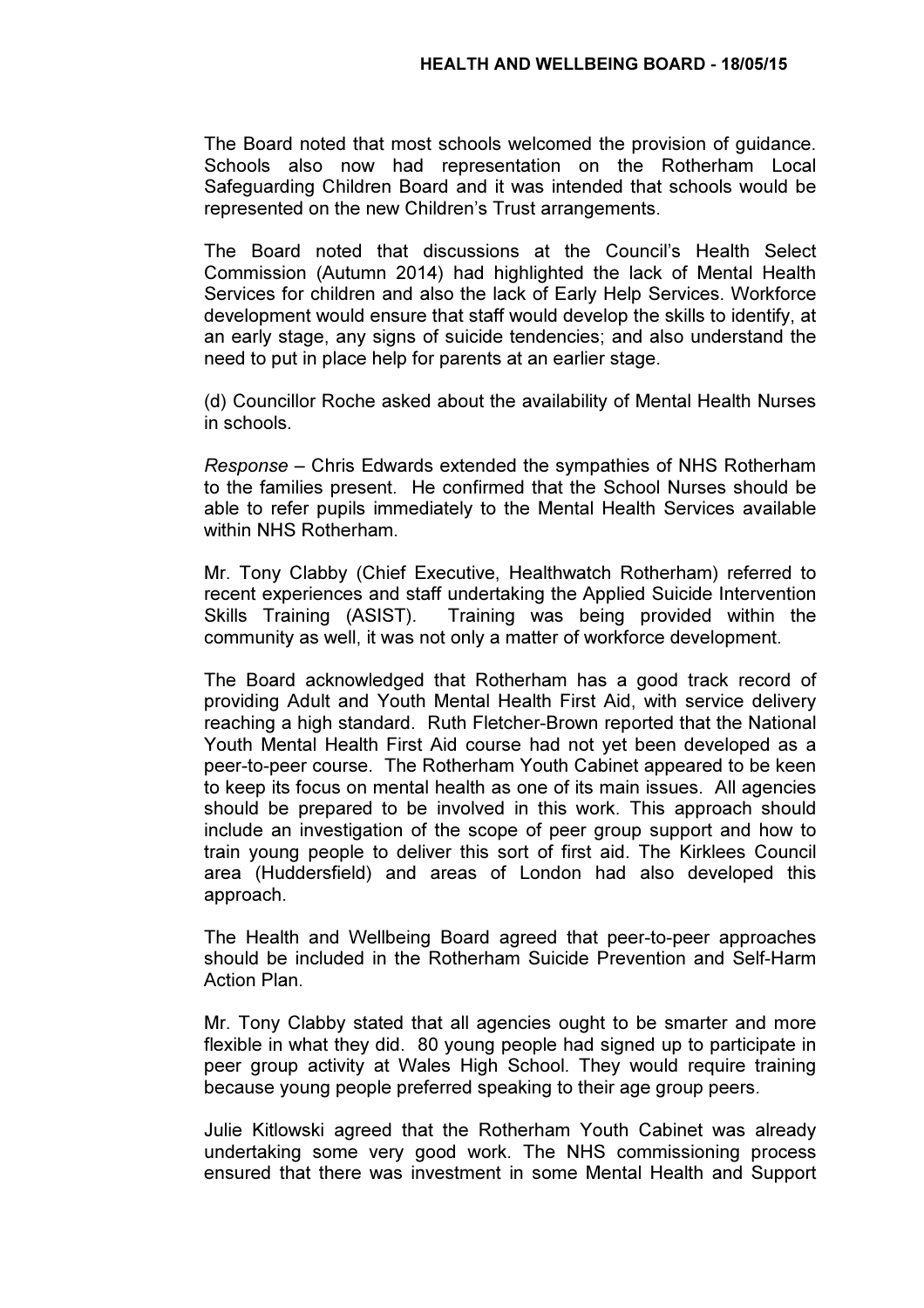The Board noted that most schools welcomed the provision of guidance. Schools also now had representation on the Rotherham Local Safeguarding Children Board and it was intended that schools would be represented on the new Children's Trust arrangements.

The Board noted that discussions at the Council's Health Select Commission (Autumn 2014) had highlighted the lack of Mental Health Services for children and also the lack of Early Help Services. Workforce development would ensure that staff would develop the skills to identify, at an early stage, any signs of suicide tendencies; and also understand the need to put in place help for parents at an earlier stage.

(d) Councillor Roche asked about the availability of Mental Health Nurses in schools.

Response – Chris Edwards extended the sympathies of NHS Rotherham to the families present. He confirmed that the School Nurses should be able to refer pupils immediately to the Mental Health Services available within NHS Rotherham.

Mr. Tony Clabby (Chief Executive, Healthwatch Rotherham) referred to recent experiences and staff undertaking the Applied Suicide Intervention Skills Training (ASIST). Training was being provided within the community as well, it was not only a matter of workforce development.

The Board acknowledged that Rotherham has a good track record of providing Adult and Youth Mental Health First Aid, with service delivery reaching a high standard. Ruth Fletcher-Brown reported that the National Youth Mental Health First Aid course had not yet been developed as a peer-to-peer course. The Rotherham Youth Cabinet appeared to be keen to keep its focus on mental health as one of its main issues. All agencies should be prepared to be involved in this work. This approach should include an investigation of the scope of peer group support and how to train young people to deliver this sort of first aid. The Kirklees Council area (Huddersfield) and areas of London had also developed this approach.

The Health and Wellbeing Board agreed that peer-to-peer approaches should be included in the Rotherham Suicide Prevention and Self-Harm Action Plan.

Mr. Tony Clabby stated that all agencies ought to be smarter and more flexible in what they did. 80 young people had signed up to participate in peer group activity at Wales High School. They would require training because young people preferred speaking to their age group peers.

Julie Kitlowski agreed that the Rotherham Youth Cabinet was already undertaking some very good work. The NHS commissioning process ensured that there was investment in some Mental Health and Support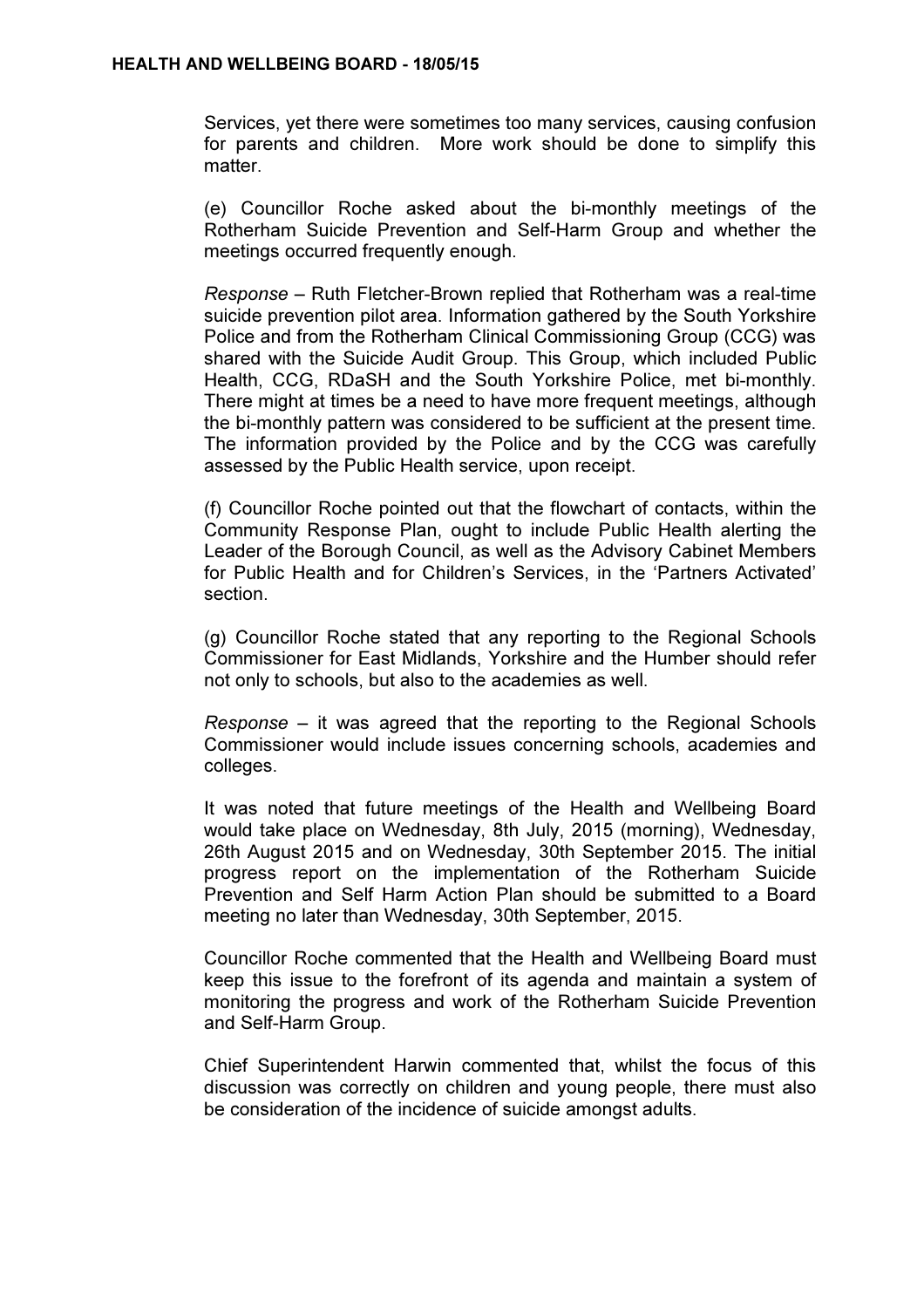Services, yet there were sometimes too many services, causing confusion for parents and children. More work should be done to simplify this matter.

(e) Councillor Roche asked about the bi-monthly meetings of the Rotherham Suicide Prevention and Self-Harm Group and whether the meetings occurred frequently enough.

Response – Ruth Fletcher-Brown replied that Rotherham was a real-time suicide prevention pilot area. Information gathered by the South Yorkshire Police and from the Rotherham Clinical Commissioning Group (CCG) was shared with the Suicide Audit Group. This Group, which included Public Health, CCG, RDaSH and the South Yorkshire Police, met bi-monthly. There might at times be a need to have more frequent meetings, although the bi-monthly pattern was considered to be sufficient at the present time. The information provided by the Police and by the CCG was carefully assessed by the Public Health service, upon receipt.

(f) Councillor Roche pointed out that the flowchart of contacts, within the Community Response Plan, ought to include Public Health alerting the Leader of the Borough Council, as well as the Advisory Cabinet Members for Public Health and for Children's Services, in the 'Partners Activated' section.

(g) Councillor Roche stated that any reporting to the Regional Schools Commissioner for East Midlands, Yorkshire and the Humber should refer not only to schools, but also to the academies as well.

Response – it was agreed that the reporting to the Regional Schools Commissioner would include issues concerning schools, academies and colleges.

It was noted that future meetings of the Health and Wellbeing Board would take place on Wednesday, 8th July, 2015 (morning), Wednesday, 26th August 2015 and on Wednesday, 30th September 2015. The initial progress report on the implementation of the Rotherham Suicide Prevention and Self Harm Action Plan should be submitted to a Board meeting no later than Wednesday, 30th September, 2015.

Councillor Roche commented that the Health and Wellbeing Board must keep this issue to the forefront of its agenda and maintain a system of monitoring the progress and work of the Rotherham Suicide Prevention and Self-Harm Group.

Chief Superintendent Harwin commented that, whilst the focus of this discussion was correctly on children and young people, there must also be consideration of the incidence of suicide amongst adults.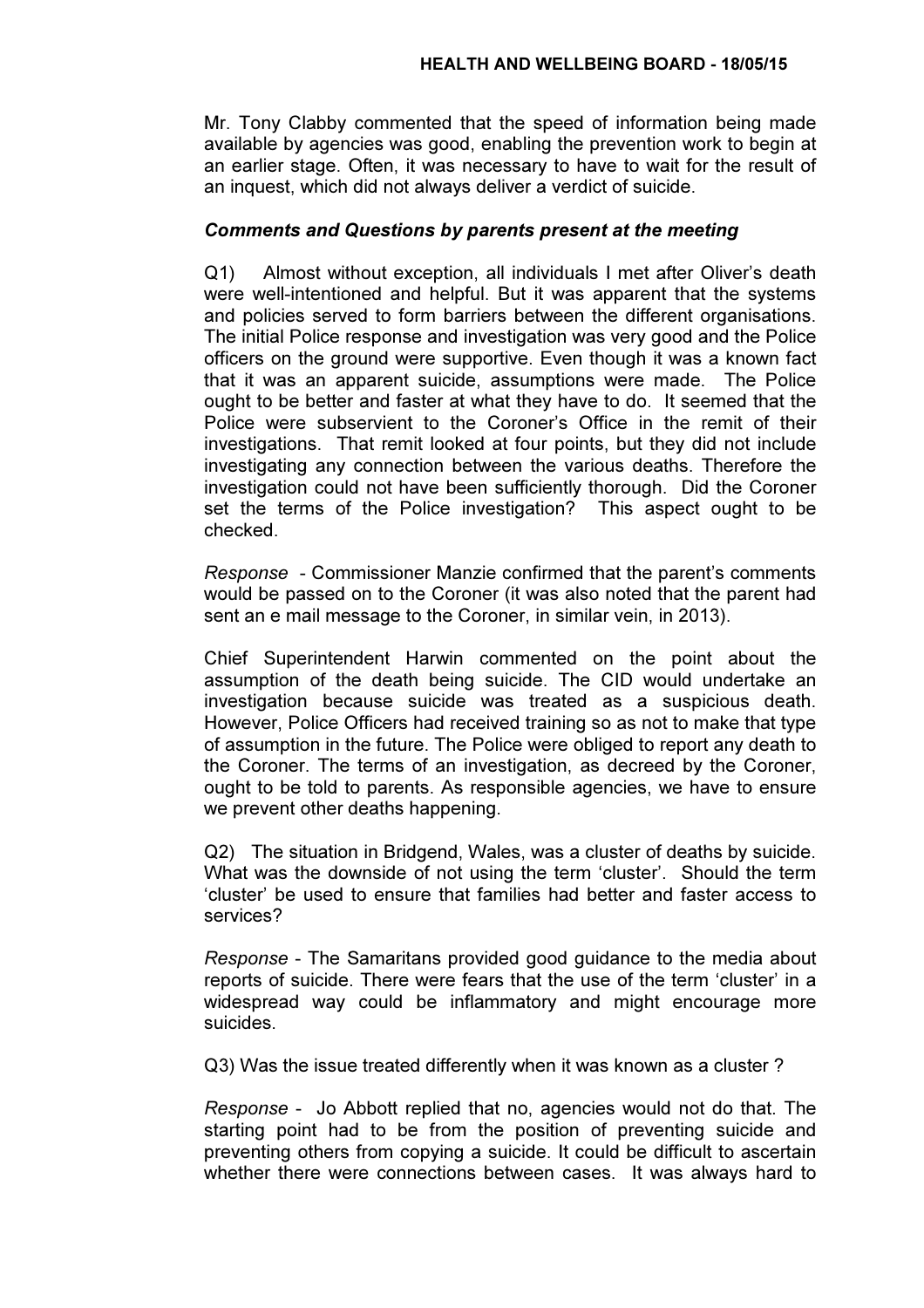Mr. Tony Clabby commented that the speed of information being made available by agencies was good, enabling the prevention work to begin at an earlier stage. Often, it was necessary to have to wait for the result of an inquest, which did not always deliver a verdict of suicide.

### Comments and Questions by parents present at the meeting

Q1) Almost without exception, all individuals I met after Oliver's death were well-intentioned and helpful. But it was apparent that the systems and policies served to form barriers between the different organisations. The initial Police response and investigation was very good and the Police officers on the ground were supportive. Even though it was a known fact that it was an apparent suicide, assumptions were made. The Police ought to be better and faster at what they have to do. It seemed that the Police were subservient to the Coroner's Office in the remit of their investigations. That remit looked at four points, but they did not include investigating any connection between the various deaths. Therefore the investigation could not have been sufficiently thorough. Did the Coroner set the terms of the Police investigation? This aspect ought to be checked.

Response - Commissioner Manzie confirmed that the parent's comments would be passed on to the Coroner (it was also noted that the parent had sent an e mail message to the Coroner, in similar vein, in 2013).

Chief Superintendent Harwin commented on the point about the assumption of the death being suicide. The CID would undertake an investigation because suicide was treated as a suspicious death. However, Police Officers had received training so as not to make that type of assumption in the future. The Police were obliged to report any death to the Coroner. The terms of an investigation, as decreed by the Coroner, ought to be told to parents. As responsible agencies, we have to ensure we prevent other deaths happening.

Q2) The situation in Bridgend, Wales, was a cluster of deaths by suicide. What was the downside of not using the term 'cluster'. Should the term 'cluster' be used to ensure that families had better and faster access to services?

Response - The Samaritans provided good guidance to the media about reports of suicide. There were fears that the use of the term 'cluster' in a widespread way could be inflammatory and might encourage more suicides.

Q3) Was the issue treated differently when it was known as a cluster ?

Response - Jo Abbott replied that no, agencies would not do that. The starting point had to be from the position of preventing suicide and preventing others from copying a suicide. It could be difficult to ascertain whether there were connections between cases. It was always hard to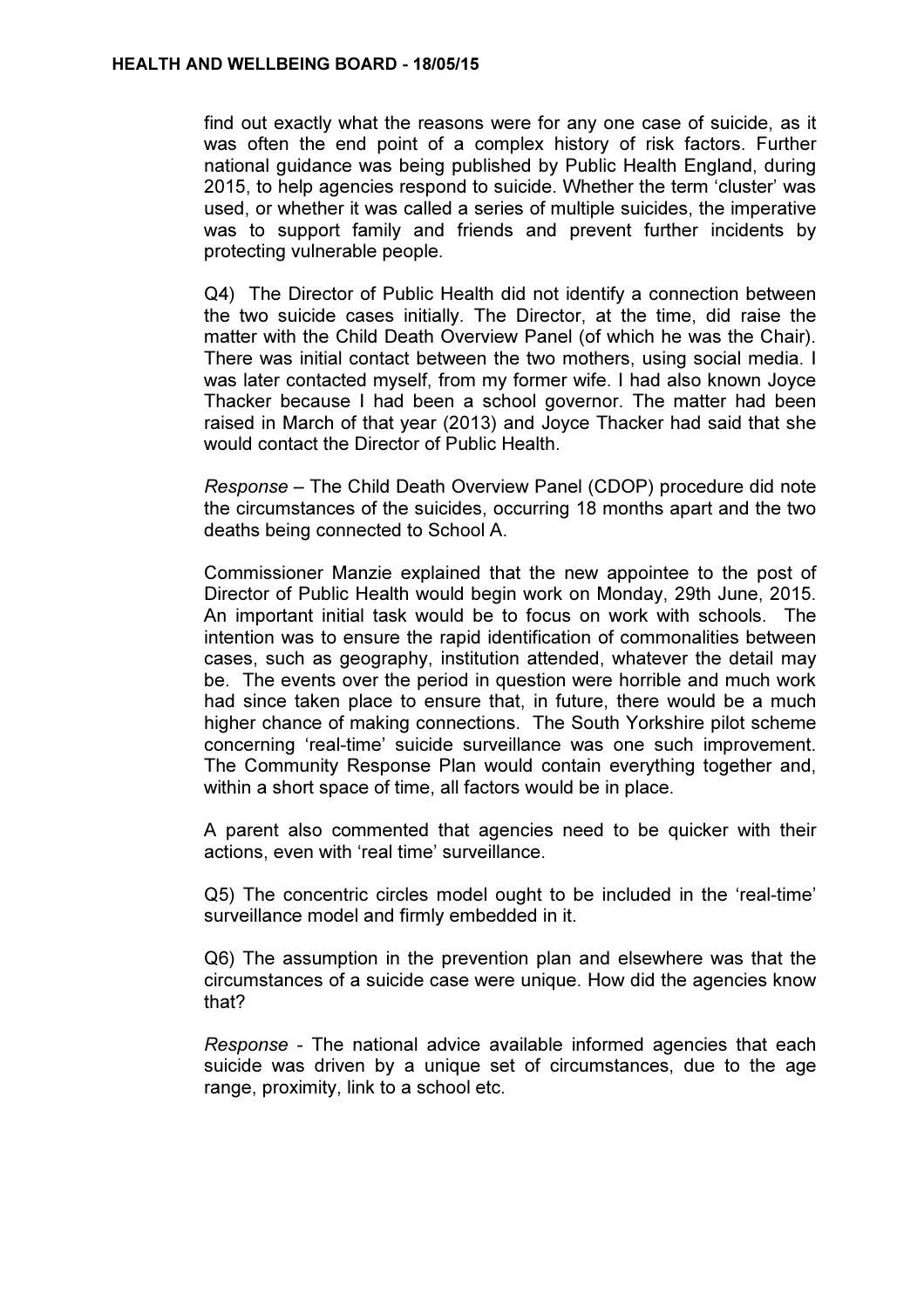find out exactly what the reasons were for any one case of suicide, as it was often the end point of a complex history of risk factors. Further national guidance was being published by Public Health England, during 2015, to help agencies respond to suicide. Whether the term 'cluster' was used, or whether it was called a series of multiple suicides, the imperative was to support family and friends and prevent further incidents by protecting vulnerable people.

Q4) The Director of Public Health did not identify a connection between the two suicide cases initially. The Director, at the time, did raise the matter with the Child Death Overview Panel (of which he was the Chair). There was initial contact between the two mothers, using social media. I was later contacted myself, from my former wife. I had also known Joyce Thacker because I had been a school governor. The matter had been raised in March of that year (2013) and Joyce Thacker had said that she would contact the Director of Public Health.

Response – The Child Death Overview Panel (CDOP) procedure did note the circumstances of the suicides, occurring 18 months apart and the two deaths being connected to School A.

Commissioner Manzie explained that the new appointee to the post of Director of Public Health would begin work on Monday, 29th June, 2015. An important initial task would be to focus on work with schools. The intention was to ensure the rapid identification of commonalities between cases, such as geography, institution attended, whatever the detail may be. The events over the period in question were horrible and much work had since taken place to ensure that, in future, there would be a much higher chance of making connections. The South Yorkshire pilot scheme concerning 'real-time' suicide surveillance was one such improvement. The Community Response Plan would contain everything together and, within a short space of time, all factors would be in place.

A parent also commented that agencies need to be quicker with their actions, even with 'real time' surveillance.

Q5) The concentric circles model ought to be included in the 'real-time' surveillance model and firmly embedded in it.

Q6) The assumption in the prevention plan and elsewhere was that the circumstances of a suicide case were unique. How did the agencies know that?

Response - The national advice available informed agencies that each suicide was driven by a unique set of circumstances, due to the age range, proximity, link to a school etc.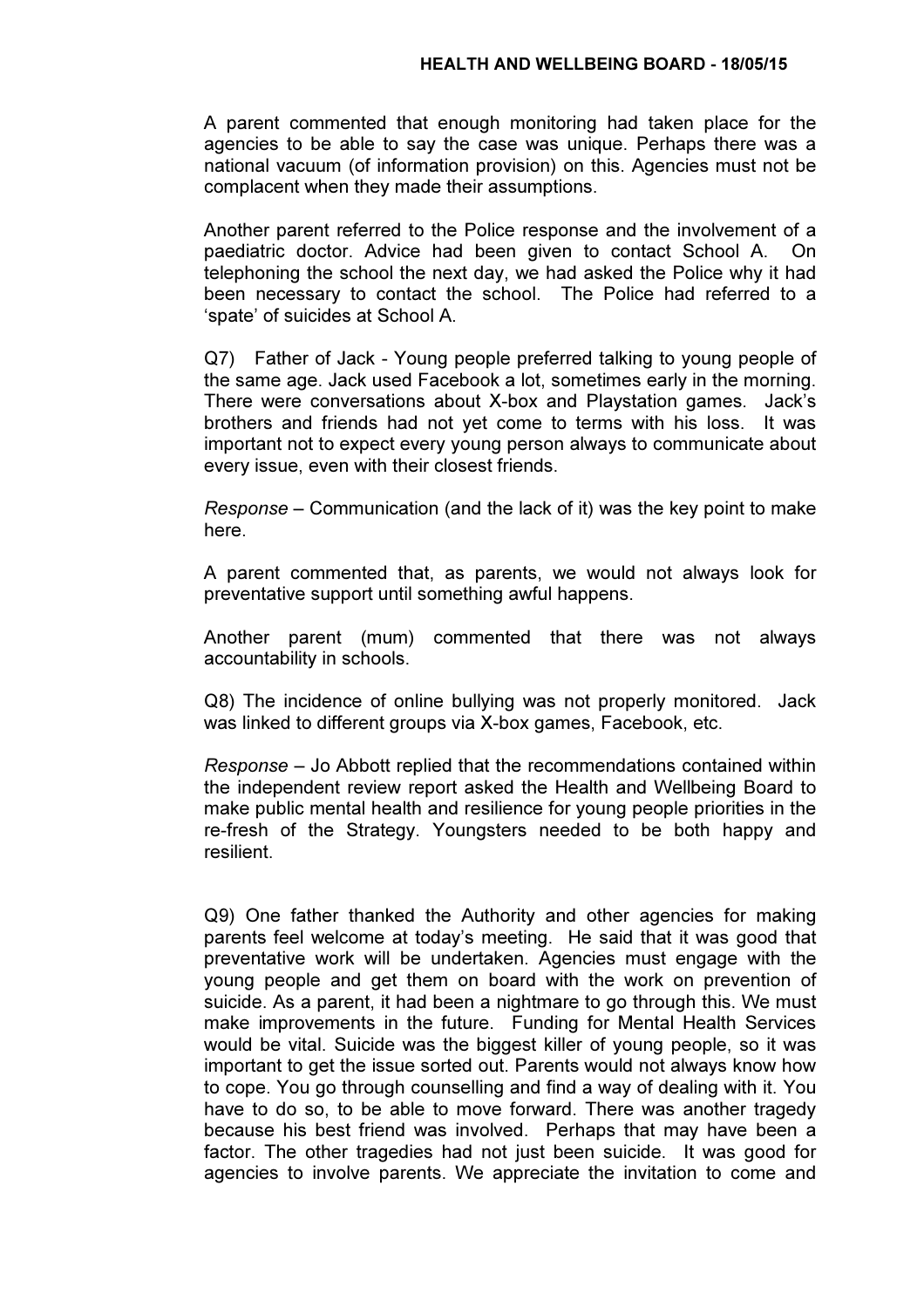A parent commented that enough monitoring had taken place for the agencies to be able to say the case was unique. Perhaps there was a national vacuum (of information provision) on this. Agencies must not be complacent when they made their assumptions.

Another parent referred to the Police response and the involvement of a paediatric doctor. Advice had been given to contact School A. On telephoning the school the next day, we had asked the Police why it had been necessary to contact the school. The Police had referred to a 'spate' of suicides at School A.

Q7) Father of Jack - Young people preferred talking to young people of the same age. Jack used Facebook a lot, sometimes early in the morning. There were conversations about X-box and Playstation games. Jack's brothers and friends had not yet come to terms with his loss. It was important not to expect every young person always to communicate about every issue, even with their closest friends.

Response – Communication (and the lack of it) was the key point to make here.

A parent commented that, as parents, we would not always look for preventative support until something awful happens.

Another parent (mum) commented that there was not always accountability in schools.

Q8) The incidence of online bullying was not properly monitored. Jack was linked to different groups via X-box games, Facebook, etc.

Response – Jo Abbott replied that the recommendations contained within the independent review report asked the Health and Wellbeing Board to make public mental health and resilience for young people priorities in the re-fresh of the Strategy. Youngsters needed to be both happy and resilient.

Q9) One father thanked the Authority and other agencies for making parents feel welcome at today's meeting. He said that it was good that preventative work will be undertaken. Agencies must engage with the young people and get them on board with the work on prevention of suicide. As a parent, it had been a nightmare to go through this. We must make improvements in the future. Funding for Mental Health Services would be vital. Suicide was the biggest killer of young people, so it was important to get the issue sorted out. Parents would not always know how to cope. You go through counselling and find a way of dealing with it. You have to do so, to be able to move forward. There was another tragedy because his best friend was involved. Perhaps that may have been a factor. The other tragedies had not just been suicide. It was good for agencies to involve parents. We appreciate the invitation to come and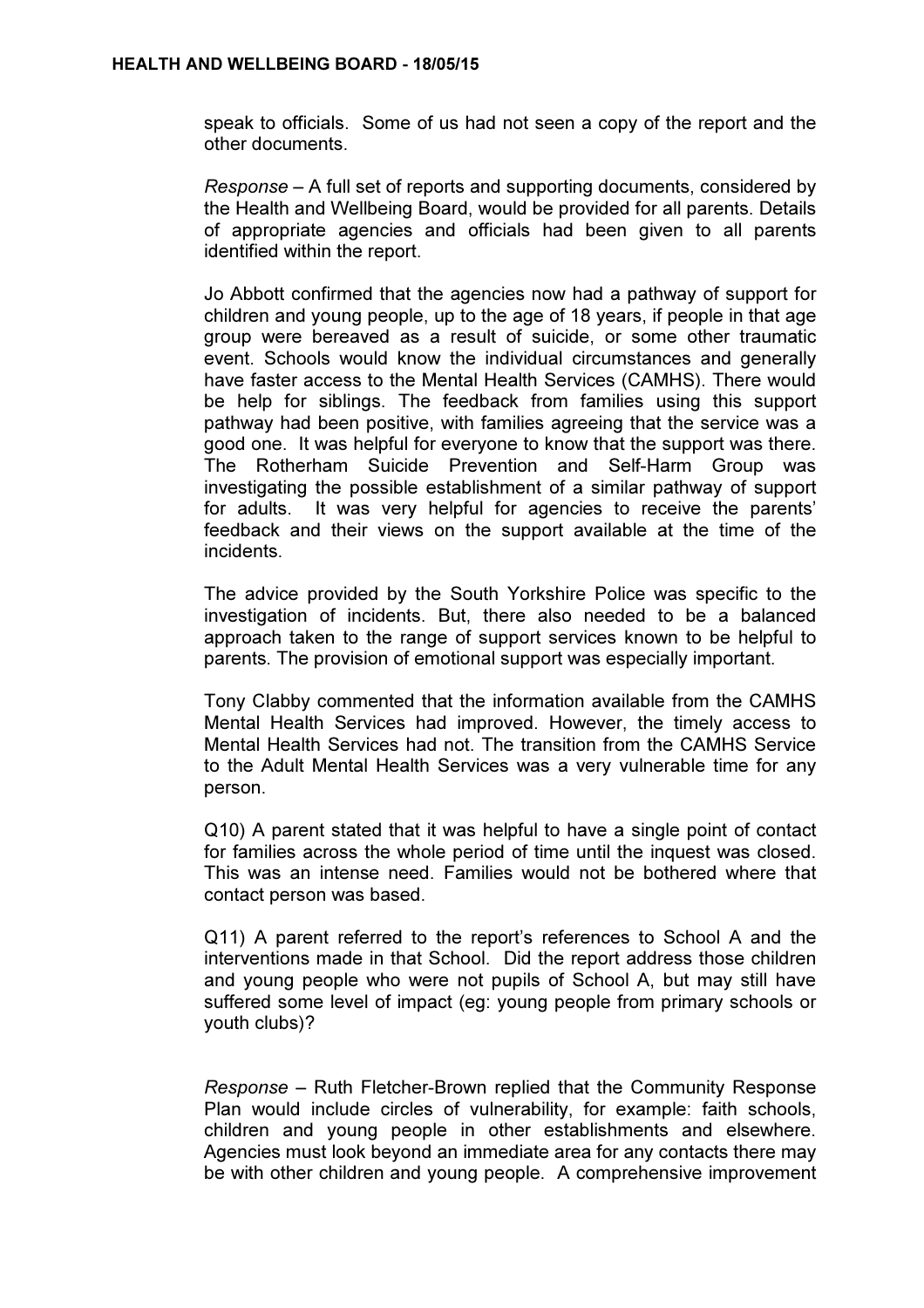speak to officials. Some of us had not seen a copy of the report and the other documents.

Response – A full set of reports and supporting documents, considered by the Health and Wellbeing Board, would be provided for all parents. Details of appropriate agencies and officials had been given to all parents identified within the report.

Jo Abbott confirmed that the agencies now had a pathway of support for children and young people, up to the age of 18 years, if people in that age group were bereaved as a result of suicide, or some other traumatic event. Schools would know the individual circumstances and generally have faster access to the Mental Health Services (CAMHS). There would be help for siblings. The feedback from families using this support pathway had been positive, with families agreeing that the service was a good one. It was helpful for everyone to know that the support was there. The Rotherham Suicide Prevention and Self-Harm Group was investigating the possible establishment of a similar pathway of support for adults. It was very helpful for agencies to receive the parents' feedback and their views on the support available at the time of the incidents.

The advice provided by the South Yorkshire Police was specific to the investigation of incidents. But, there also needed to be a balanced approach taken to the range of support services known to be helpful to parents. The provision of emotional support was especially important.

Tony Clabby commented that the information available from the CAMHS Mental Health Services had improved. However, the timely access to Mental Health Services had not. The transition from the CAMHS Service to the Adult Mental Health Services was a very vulnerable time for any person.

Q10) A parent stated that it was helpful to have a single point of contact for families across the whole period of time until the inquest was closed. This was an intense need. Families would not be bothered where that contact person was based.

Q11) A parent referred to the report's references to School A and the interventions made in that School. Did the report address those children and young people who were not pupils of School A, but may still have suffered some level of impact (eg: young people from primary schools or youth clubs)?

Response – Ruth Fletcher-Brown replied that the Community Response Plan would include circles of vulnerability, for example: faith schools, children and young people in other establishments and elsewhere. Agencies must look beyond an immediate area for any contacts there may be with other children and young people. A comprehensive improvement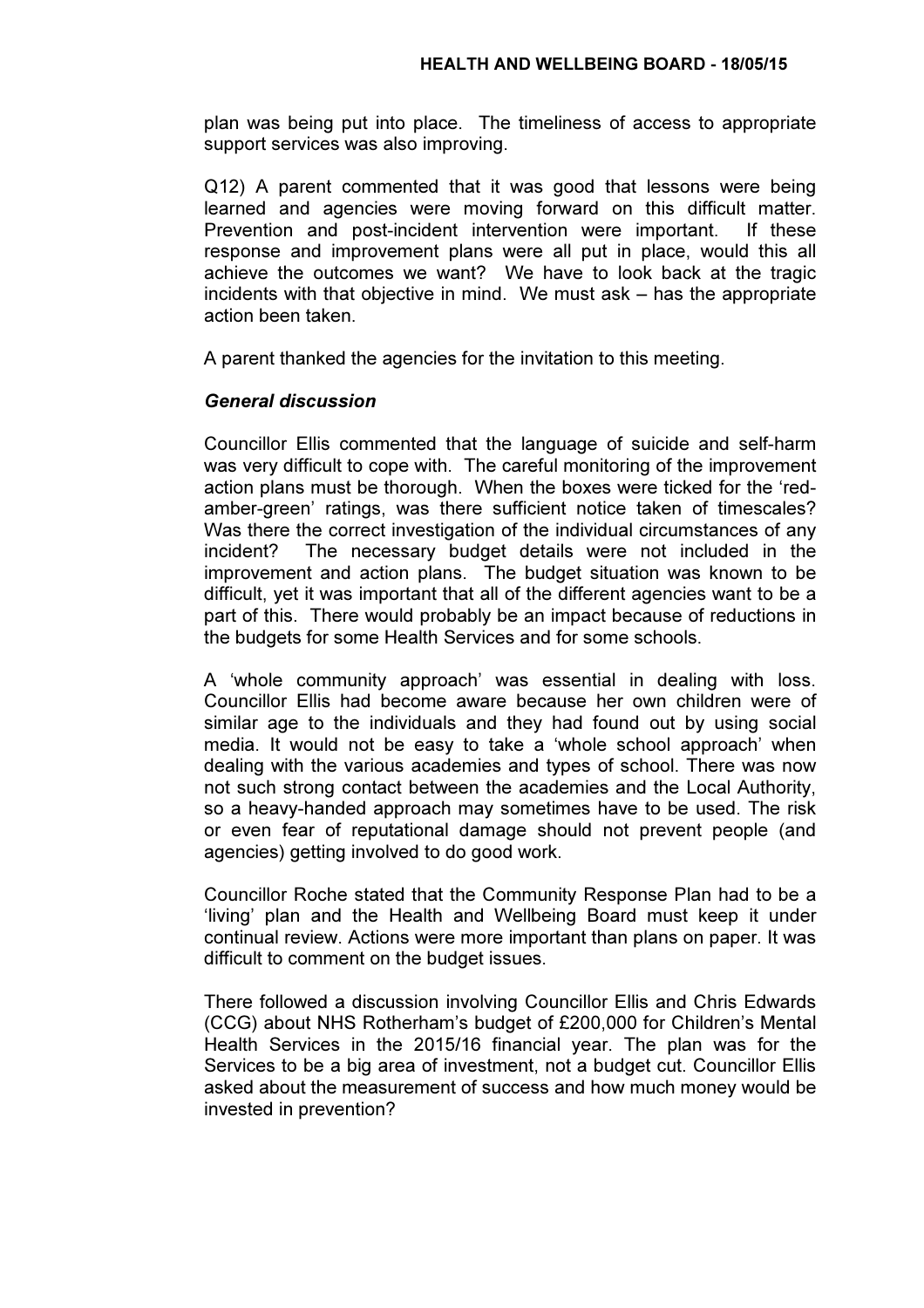plan was being put into place. The timeliness of access to appropriate support services was also improving.

Q12) A parent commented that it was good that lessons were being learned and agencies were moving forward on this difficult matter. Prevention and post-incident intervention were important. If these response and improvement plans were all put in place, would this all achieve the outcomes we want? We have to look back at the tragic incidents with that objective in mind. We must ask – has the appropriate action been taken.

A parent thanked the agencies for the invitation to this meeting.

## General discussion

Councillor Ellis commented that the language of suicide and self-harm was very difficult to cope with. The careful monitoring of the improvement action plans must be thorough. When the boxes were ticked for the 'redamber-green' ratings, was there sufficient notice taken of timescales? Was there the correct investigation of the individual circumstances of any incident? The necessary budget details were not included in the improvement and action plans. The budget situation was known to be difficult, yet it was important that all of the different agencies want to be a part of this. There would probably be an impact because of reductions in the budgets for some Health Services and for some schools.

A 'whole community approach' was essential in dealing with loss. Councillor Ellis had become aware because her own children were of similar age to the individuals and they had found out by using social media. It would not be easy to take a 'whole school approach' when dealing with the various academies and types of school. There was now not such strong contact between the academies and the Local Authority, so a heavy-handed approach may sometimes have to be used. The risk or even fear of reputational damage should not prevent people (and agencies) getting involved to do good work.

Councillor Roche stated that the Community Response Plan had to be a 'living' plan and the Health and Wellbeing Board must keep it under continual review. Actions were more important than plans on paper. It was difficult to comment on the budget issues.

There followed a discussion involving Councillor Ellis and Chris Edwards (CCG) about NHS Rotherham's budget of £200,000 for Children's Mental Health Services in the 2015/16 financial year. The plan was for the Services to be a big area of investment, not a budget cut. Councillor Ellis asked about the measurement of success and how much money would be invested in prevention?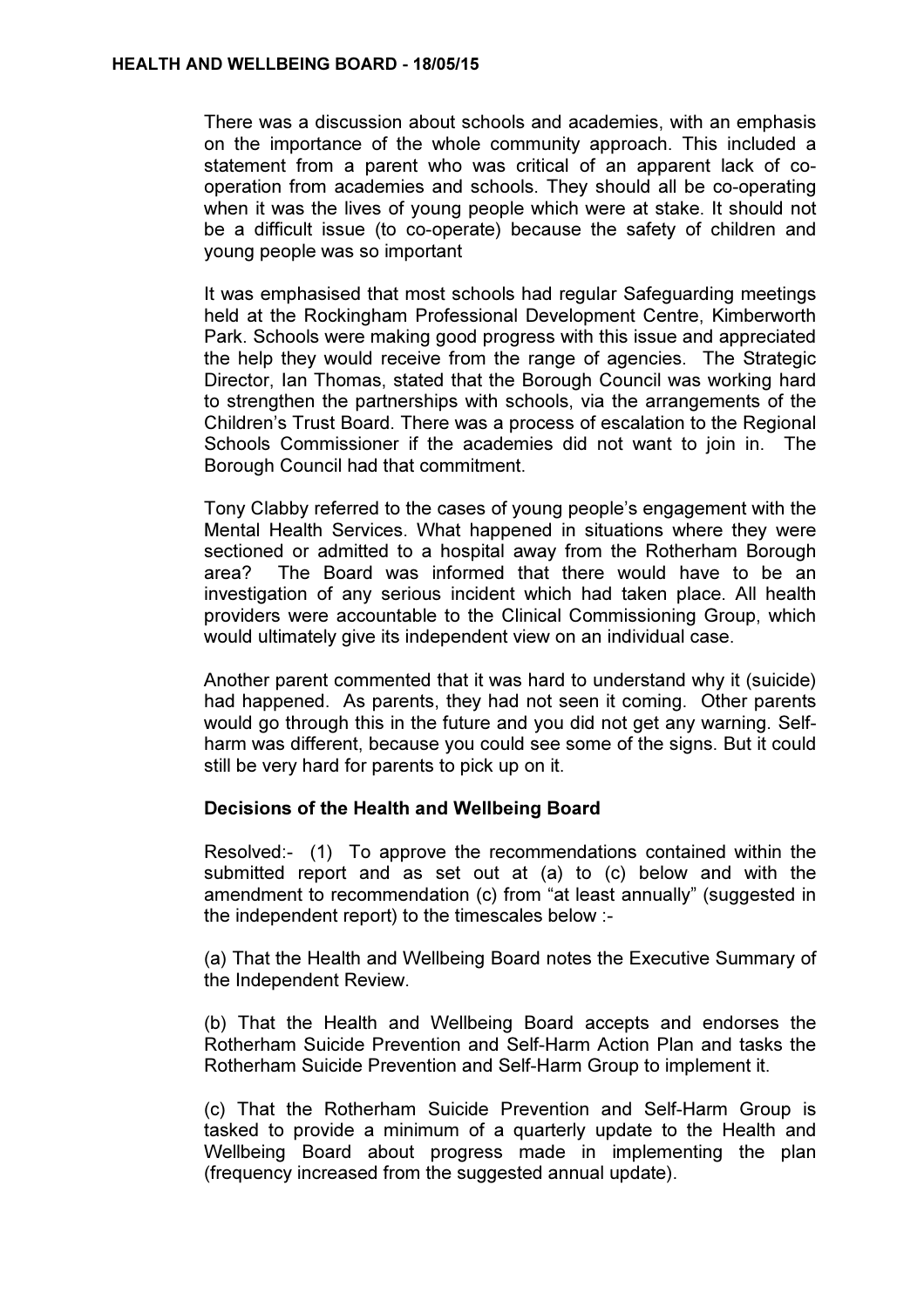There was a discussion about schools and academies, with an emphasis on the importance of the whole community approach. This included a statement from a parent who was critical of an apparent lack of cooperation from academies and schools. They should all be co-operating when it was the lives of young people which were at stake. It should not be a difficult issue (to co-operate) because the safety of children and young people was so important

It was emphasised that most schools had regular Safeguarding meetings held at the Rockingham Professional Development Centre, Kimberworth Park. Schools were making good progress with this issue and appreciated the help they would receive from the range of agencies. The Strategic Director, Ian Thomas, stated that the Borough Council was working hard to strengthen the partnerships with schools, via the arrangements of the Children's Trust Board. There was a process of escalation to the Regional Schools Commissioner if the academies did not want to join in. The Borough Council had that commitment.

Tony Clabby referred to the cases of young people's engagement with the Mental Health Services. What happened in situations where they were sectioned or admitted to a hospital away from the Rotherham Borough area? The Board was informed that there would have to be an investigation of any serious incident which had taken place. All health providers were accountable to the Clinical Commissioning Group, which would ultimately give its independent view on an individual case.

Another parent commented that it was hard to understand why it (suicide) had happened. As parents, they had not seen it coming. Other parents would go through this in the future and you did not get any warning. Selfharm was different, because you could see some of the signs. But it could still be very hard for parents to pick up on it.

#### Decisions of the Health and Wellbeing Board

Resolved:- (1) To approve the recommendations contained within the submitted report and as set out at (a) to (c) below and with the amendment to recommendation (c) from "at least annually" (suggested in the independent report) to the timescales below :-

(a) That the Health and Wellbeing Board notes the Executive Summary of the Independent Review.

(b) That the Health and Wellbeing Board accepts and endorses the Rotherham Suicide Prevention and Self-Harm Action Plan and tasks the Rotherham Suicide Prevention and Self-Harm Group to implement it.

(c) That the Rotherham Suicide Prevention and Self-Harm Group is tasked to provide a minimum of a quarterly update to the Health and Wellbeing Board about progress made in implementing the plan (frequency increased from the suggested annual update).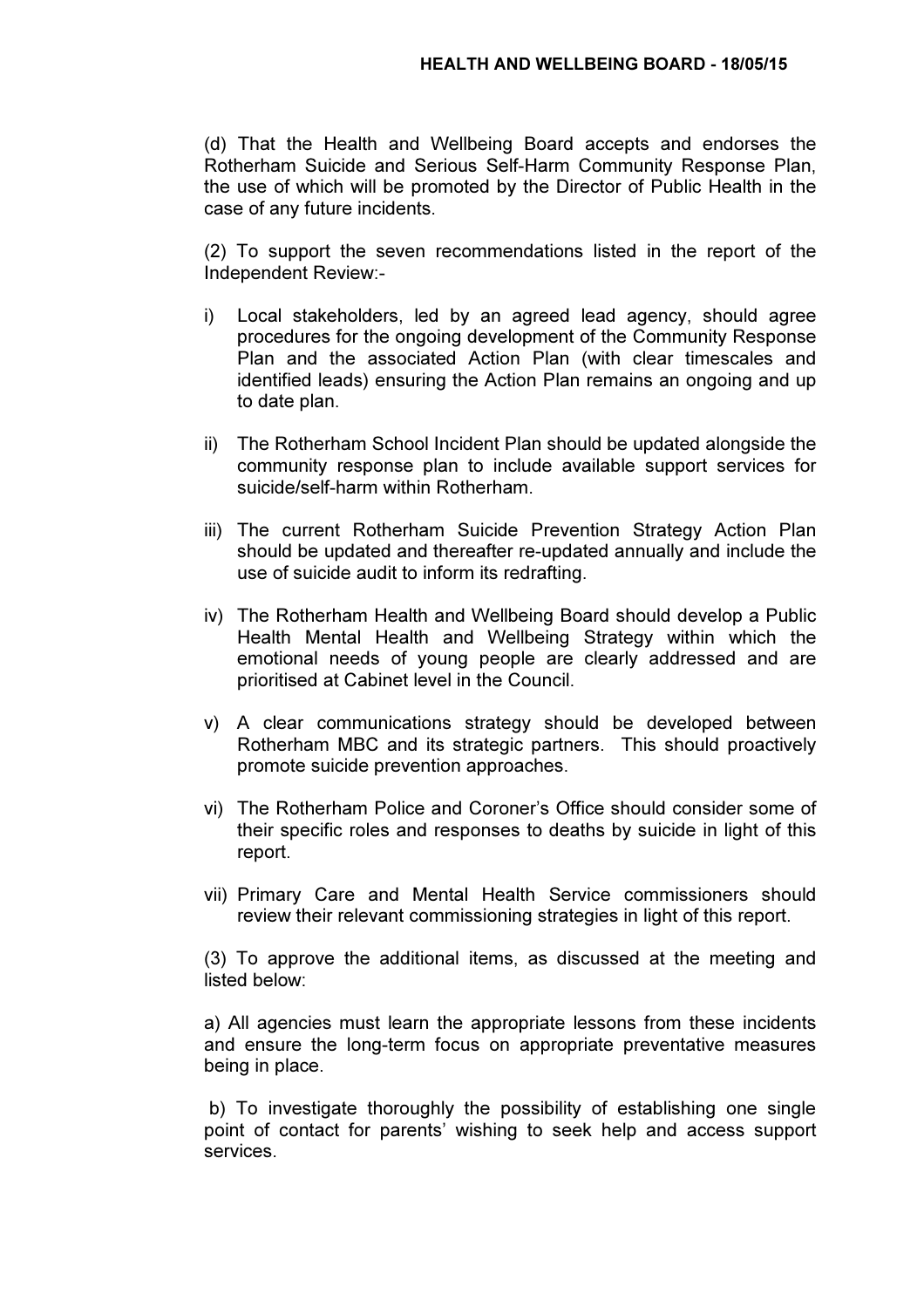(d) That the Health and Wellbeing Board accepts and endorses the Rotherham Suicide and Serious Self-Harm Community Response Plan, the use of which will be promoted by the Director of Public Health in the case of any future incidents.

(2) To support the seven recommendations listed in the report of the Independent Review:-

- i) Local stakeholders, led by an agreed lead agency, should agree procedures for the ongoing development of the Community Response Plan and the associated Action Plan (with clear timescales and identified leads) ensuring the Action Plan remains an ongoing and up to date plan.
- ii) The Rotherham School Incident Plan should be updated alongside the community response plan to include available support services for suicide/self-harm within Rotherham.
- iii) The current Rotherham Suicide Prevention Strategy Action Plan should be updated and thereafter re-updated annually and include the use of suicide audit to inform its redrafting.
- iv) The Rotherham Health and Wellbeing Board should develop a Public Health Mental Health and Wellbeing Strategy within which the emotional needs of young people are clearly addressed and are prioritised at Cabinet level in the Council.
- v) A clear communications strategy should be developed between Rotherham MBC and its strategic partners. This should proactively promote suicide prevention approaches.
- vi) The Rotherham Police and Coroner's Office should consider some of their specific roles and responses to deaths by suicide in light of this report.
- vii) Primary Care and Mental Health Service commissioners should review their relevant commissioning strategies in light of this report.

(3) To approve the additional items, as discussed at the meeting and listed below:

a) All agencies must learn the appropriate lessons from these incidents and ensure the long-term focus on appropriate preventative measures being in place.

 b) To investigate thoroughly the possibility of establishing one single point of contact for parents' wishing to seek help and access support services.